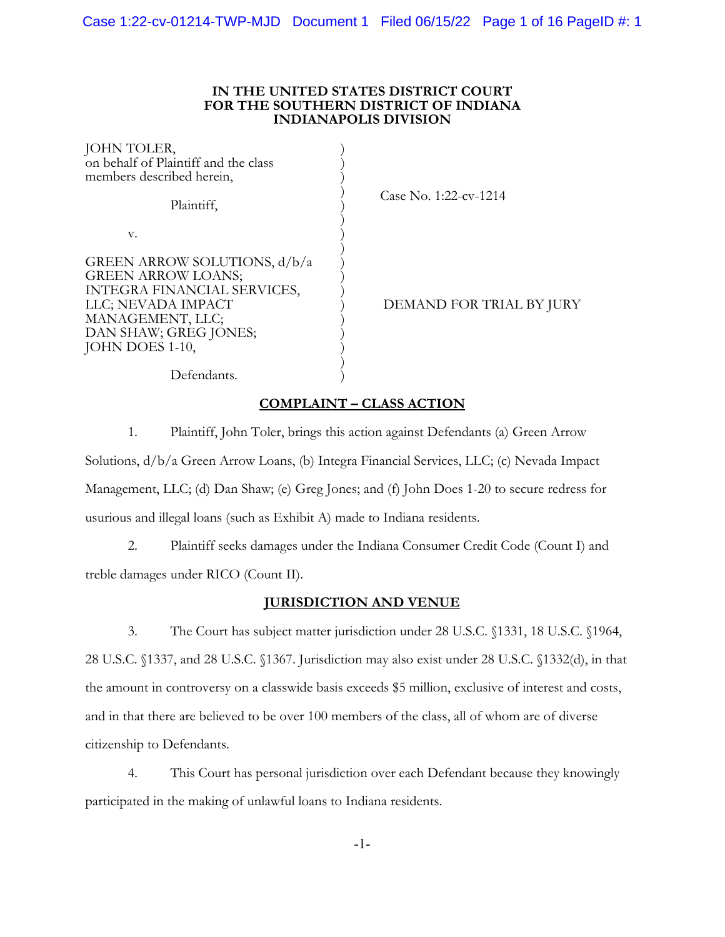# **IN THE UNITED STATES DISTRICT COURT FOR THE SOUTHERN DISTRICT OF INDIANA INDIANAPOLIS DIVISION**

| JOHN TOLER,<br>on behalf of Plaintiff and the class<br>members described herein,                                                                                               |                          |
|--------------------------------------------------------------------------------------------------------------------------------------------------------------------------------|--------------------------|
| Plaintiff,                                                                                                                                                                     | Case No. 1:22-cv-1214    |
| V.                                                                                                                                                                             |                          |
| GREEN ARROW SOLUTIONS, d/b/a<br><b>GREEN ARROW LOANS;</b><br>INTEGRA FINANCIAL SERVICES,<br>LLC; NEVADA IMPACT<br>MANAGEMENT, LLC;<br>DAN SHAW; GREG JONES;<br>JOHN DOES 1-10, | DEMAND FOR TRIAL BY JURY |
| Defendants.                                                                                                                                                                    |                          |

# **COMPLAINT – CLASS ACTION**

1. Plaintiff, John Toler, brings this action against Defendants (a) Green Arrow Solutions, d/b/a Green Arrow Loans, (b) Integra Financial Services, LLC; (c) Nevada Impact Management, LLC; (d) Dan Shaw; (e) Greg Jones; and (f) John Does 1-20 to secure redress for usurious and illegal loans (such as Exhibit A) made to Indiana residents.

2. Plaintiff seeks damages under the Indiana Consumer Credit Code (Count I) and treble damages under RICO (Count II).

# **JURISDICTION AND VENUE**

3. The Court has subject matter jurisdiction under 28 U.S.C. §1331, 18 U.S.C. §1964, 28 U.S.C. §1337, and 28 U.S.C. §1367. Jurisdiction may also exist under 28 U.S.C. §1332(d), in that the amount in controversy on a classwide basis exceeds \$5 million, exclusive of interest and costs, and in that there are believed to be over 100 members of the class, all of whom are of diverse citizenship to Defendants.

4. This Court has personal jurisdiction over each Defendant because they knowingly participated in the making of unlawful loans to Indiana residents.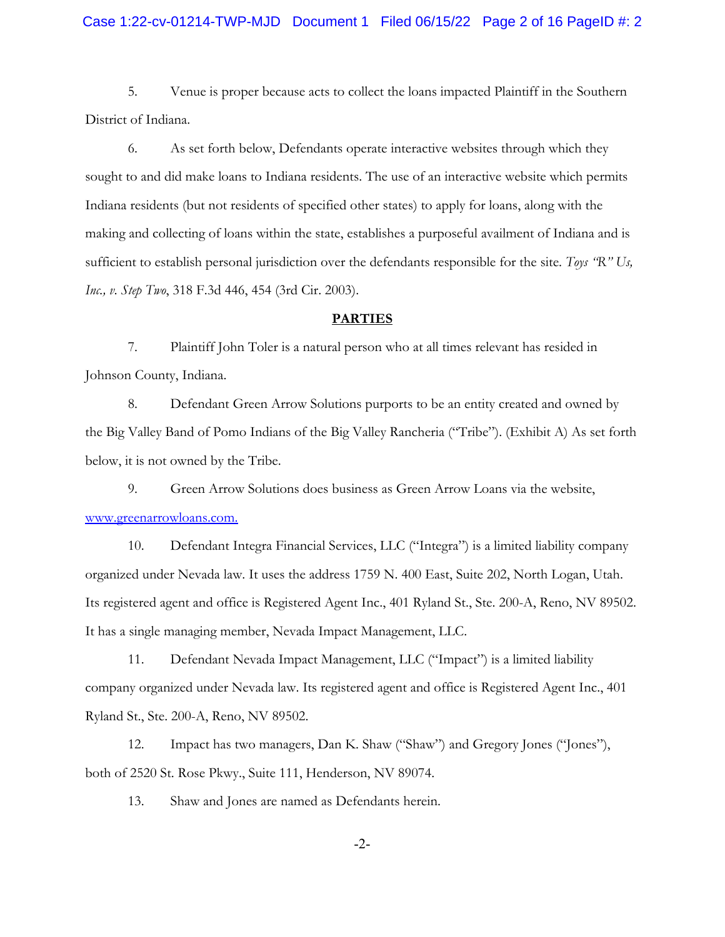5. Venue is proper because acts to collect the loans impacted Plaintiff in the Southern District of Indiana.

6. As set forth below, Defendants operate interactive websites through which they sought to and did make loans to Indiana residents. The use of an interactive website which permits Indiana residents (but not residents of specified other states) to apply for loans, along with the making and collecting of loans within the state, establishes a purposeful availment of Indiana and is sufficient to establish personal jurisdiction over the defendants responsible for the site. *Toys "R" Us, Inc., v. Step Two*, 318 F.3d 446, 454 (3rd Cir. 2003).

### **PARTIES**

7. Plaintiff John Toler is a natural person who at all times relevant has resided in Johnson County, Indiana.

8. Defendant Green Arrow Solutions purports to be an entity created and owned by the Big Valley Band of Pomo Indians of the Big Valley Rancheria ("Tribe"). (Exhibit A) As set forth below, it is not owned by the Tribe.

9. Green Arrow Solutions does business as Green Arrow Loans via the website, www.greenarrowloans.com.

10. Defendant Integra Financial Services, LLC ("Integra") is a limited liability company organized under Nevada law. It uses the address 1759 N. 400 East, Suite 202, North Logan, Utah. Its registered agent and office is Registered Agent Inc., 401 Ryland St., Ste. 200-A, Reno, NV 89502. It has a single managing member, Nevada Impact Management, LLC.

11. Defendant Nevada Impact Management, LLC ("Impact") is a limited liability company organized under Nevada law. Its registered agent and office is Registered Agent Inc., 401 Ryland St., Ste. 200-A, Reno, NV 89502.

12. Impact has two managers, Dan K. Shaw ("Shaw") and Gregory Jones ("Jones"), both of 2520 St. Rose Pkwy., Suite 111, Henderson, NV 89074.

13. Shaw and Jones are named as Defendants herein.

-2-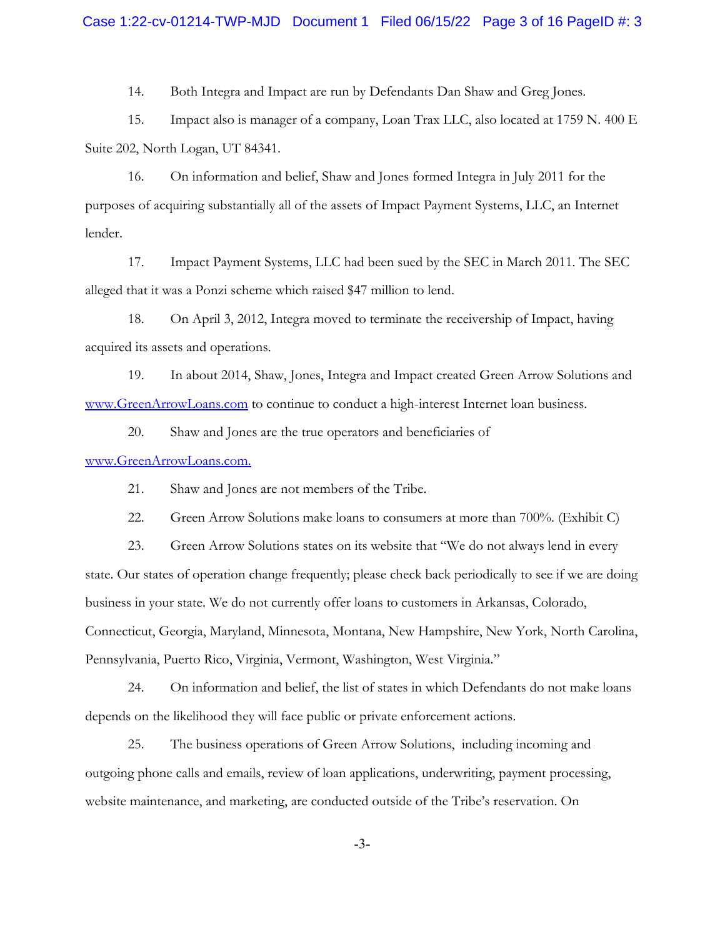# Case 1:22-cv-01214-TWP-MJD Document 1 Filed 06/15/22 Page 3 of 16 PageID #: 3

14. Both Integra and Impact are run by Defendants Dan Shaw and Greg Jones.

15. Impact also is manager of a company, Loan Trax LLC, also located at 1759 N. 400 E Suite 202, North Logan, UT 84341.

16. On information and belief, Shaw and Jones formed Integra in July 2011 for the purposes of acquiring substantially all of the assets of Impact Payment Systems, LLC, an Internet lender.

17. Impact Payment Systems, LLC had been sued by the SEC in March 2011. The SEC alleged that it was a Ponzi scheme which raised \$47 million to lend.

18. On April 3, 2012, Integra moved to terminate the receivership of Impact, having acquired its assets and operations.

19. In about 2014, Shaw, Jones, Integra and Impact created Green Arrow Solutions and www.GreenArrowLoans.com to continue to conduct a high-interest Internet loan business.

20. Shaw and Jones are the true operators and beneficiaries of

www.GreenArrowLoans.com.

21. Shaw and Jones are not members of the Tribe.

22. Green Arrow Solutions make loans to consumers at more than 700%. (Exhibit C)

23. Green Arrow Solutions states on its website that "We do not always lend in every state. Our states of operation change frequently; please check back periodically to see if we are doing business in your state. We do not currently offer loans to customers in Arkansas, Colorado, Connecticut, Georgia, Maryland, Minnesota, Montana, New Hampshire, New York, North Carolina, Pennsylvania, Puerto Rico, Virginia, Vermont, Washington, West Virginia."

24. On information and belief, the list of states in which Defendants do not make loans depends on the likelihood they will face public or private enforcement actions.

25. The business operations of Green Arrow Solutions, including incoming and outgoing phone calls and emails, review of loan applications, underwriting, payment processing, website maintenance, and marketing, are conducted outside of the Tribe's reservation. On

-3-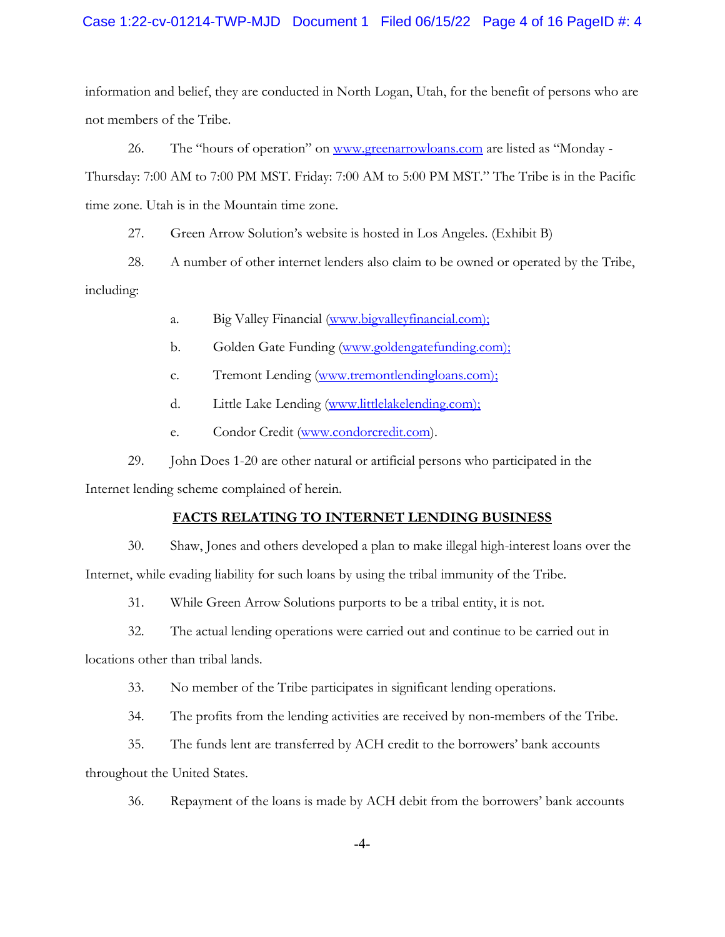# Case 1:22-cv-01214-TWP-MJD Document 1 Filed 06/15/22 Page 4 of 16 PageID #: 4

information and belief, they are conducted in North Logan, Utah, for the benefit of persons who are not members of the Tribe.

26. The "hours of operation" on www.greenarrowloans.com are listed as "Monday -Thursday: 7:00 AM to 7:00 PM MST. Friday: 7:00 AM to 5:00 PM MST." The Tribe is in the Pacific time zone. Utah is in the Mountain time zone.

27. Green Arrow Solution's website is hosted in Los Angeles. (Exhibit B)

28. A number of other internet lenders also claim to be owned or operated by the Tribe, including:

- a. Big Valley Financial (www.bigvalleyfinancial.com);
- b. Golden Gate Funding (www.goldengatefunding.com);
- c. Tremont Lending (www.tremontlendingloans.com);
- d. Little Lake Lending (www.littlelakelending.com);
- e. Condor Credit (www.condorcredit.com).

29. John Does 1-20 are other natural or artificial persons who participated in the

Internet lending scheme complained of herein.

# **FACTS RELATING TO INTERNET LENDING BUSINESS**

30. Shaw, Jones and others developed a plan to make illegal high-interest loans over the Internet, while evading liability for such loans by using the tribal immunity of the Tribe.

31. While Green Arrow Solutions purports to be a tribal entity, it is not.

32. The actual lending operations were carried out and continue to be carried out in

locations other than tribal lands.

- 33. No member of the Tribe participates in significant lending operations.
- 34. The profits from the lending activities are received by non-members of the Tribe.

35. The funds lent are transferred by ACH credit to the borrowers' bank accounts throughout the United States.

36. Repayment of the loans is made by ACH debit from the borrowers' bank accounts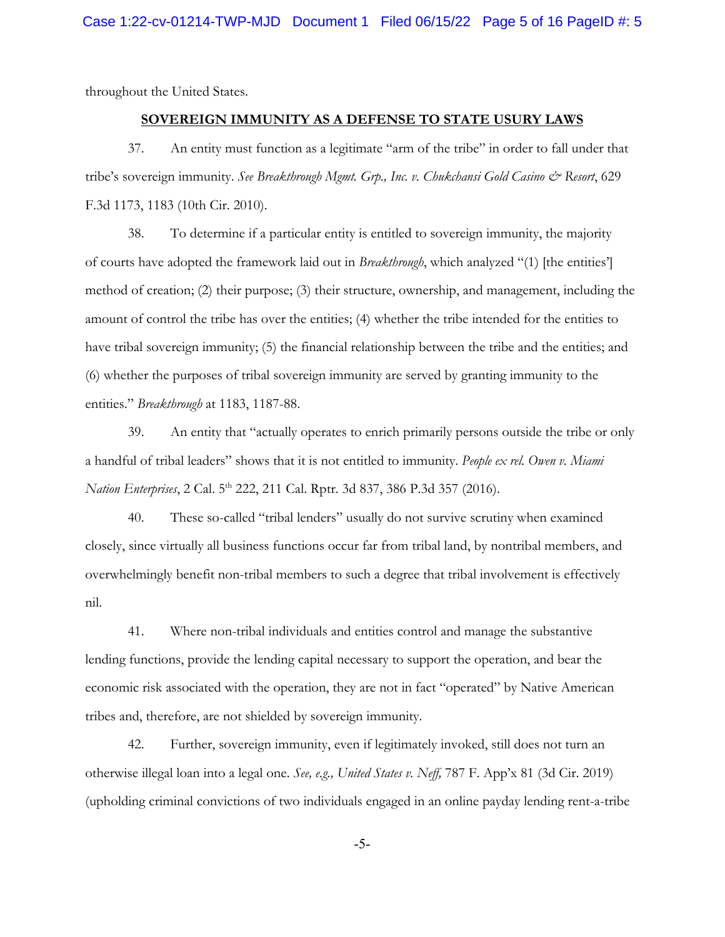throughout the United States.

# **SOVEREIGN IMMUNITY AS A DEFENSE TO STATE USURY LAWS**

37. An entity must function as a legitimate "arm of the tribe" in order to fall under that tribe's sovereign immunity. *See Breakthrough Mgmt. Grp., Inc. v. Chukchansi Gold Casino & Resort*, 629 F.3d 1173, 1183 (10th Cir. 2010).

38. To determine if a particular entity is entitled to sovereign immunity, the majority of courts have adopted the framework laid out in *Breakthrough*, which analyzed "(1) [the entities'] method of creation; (2) their purpose; (3) their structure, ownership, and management, including the amount of control the tribe has over the entities; (4) whether the tribe intended for the entities to have tribal sovereign immunity; (5) the financial relationship between the tribe and the entities; and (6) whether the purposes of tribal sovereign immunity are served by granting immunity to the entities." *Breakthrough* at 1183, 1187-88.

39. An entity that "actually operates to enrich primarily persons outside the tribe or only a handful of tribal leaders" shows that it is not entitled to immunity. *People ex rel. Owen v. Miami Nation Enterprises*, 2 Cal. 5th 222, 211 Cal. Rptr. 3d 837, 386 P.3d 357 (2016).

40. These so-called "tribal lenders" usually do not survive scrutiny when examined closely, since virtually all business functions occur far from tribal land, by nontribal members, and overwhelmingly benefit non-tribal members to such a degree that tribal involvement is effectively nil.

41. Where non-tribal individuals and entities control and manage the substantive lending functions, provide the lending capital necessary to support the operation, and bear the economic risk associated with the operation, they are not in fact "operated" by Native American tribes and, therefore, are not shielded by sovereign immunity.

42. Further, sovereign immunity, even if legitimately invoked, still does not turn an otherwise illegal loan into a legal one. *See, e.g., United States v. Neff,* 787 F. App'x 81 (3d Cir. 2019) (upholding criminal convictions of two individuals engaged in an online payday lending rent-a-tribe

-5-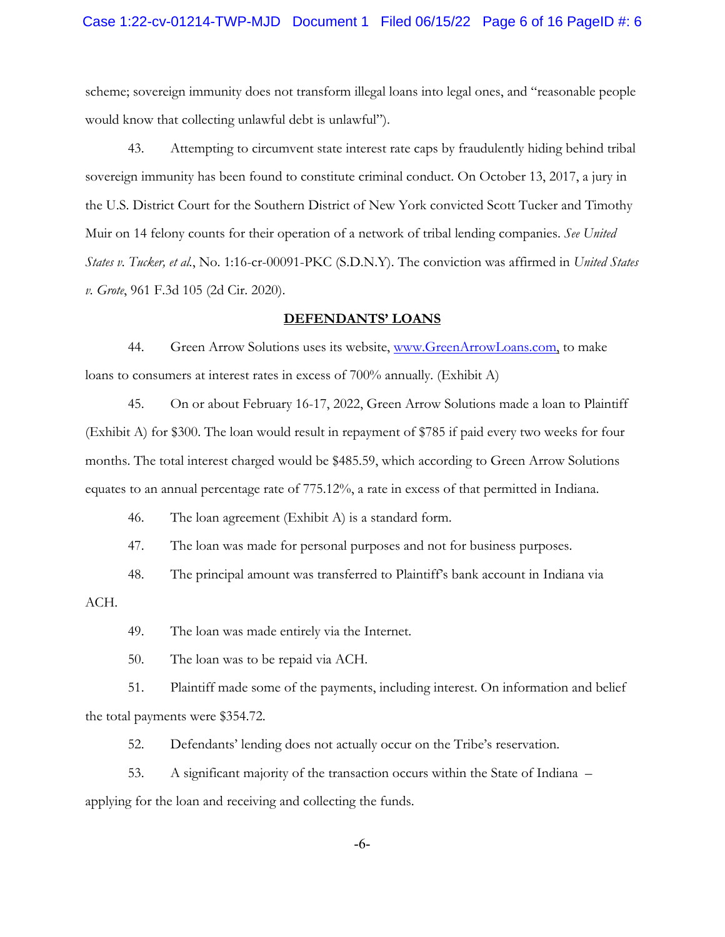scheme; sovereign immunity does not transform illegal loans into legal ones, and "reasonable people would know that collecting unlawful debt is unlawful").

43. Attempting to circumvent state interest rate caps by fraudulently hiding behind tribal sovereign immunity has been found to constitute criminal conduct. On October 13, 2017, a jury in the U.S. District Court for the Southern District of New York convicted Scott Tucker and Timothy Muir on 14 felony counts for their operation of a network of tribal lending companies. *See United States v. Tucker, et al.*, No. 1:16-cr-00091-PKC (S.D.N.Y). The conviction was affirmed in *United States v. Grote*, 961 F.3d 105 (2d Cir. 2020).

#### **DEFENDANTS' LOANS**

44. Green Arrow Solutions uses its website, www.GreenArrowLoans.com, to make loans to consumers at interest rates in excess of 700% annually. (Exhibit A)

45. On or about February 16-17, 2022, Green Arrow Solutions made a loan to Plaintiff (Exhibit A) for \$300. The loan would result in repayment of \$785 if paid every two weeks for four months. The total interest charged would be \$485.59, which according to Green Arrow Solutions equates to an annual percentage rate of 775.12%, a rate in excess of that permitted in Indiana.

46. The loan agreement (Exhibit A) is a standard form.

47. The loan was made for personal purposes and not for business purposes.

48. The principal amount was transferred to Plaintiff's bank account in Indiana via

ACH.

49. The loan was made entirely via the Internet.

50. The loan was to be repaid via ACH.

51. Plaintiff made some of the payments, including interest. On information and belief the total payments were \$354.72.

52. Defendants' lending does not actually occur on the Tribe's reservation.

53. A significant majority of the transaction occurs within the State of Indiana –

applying for the loan and receiving and collecting the funds.

-6-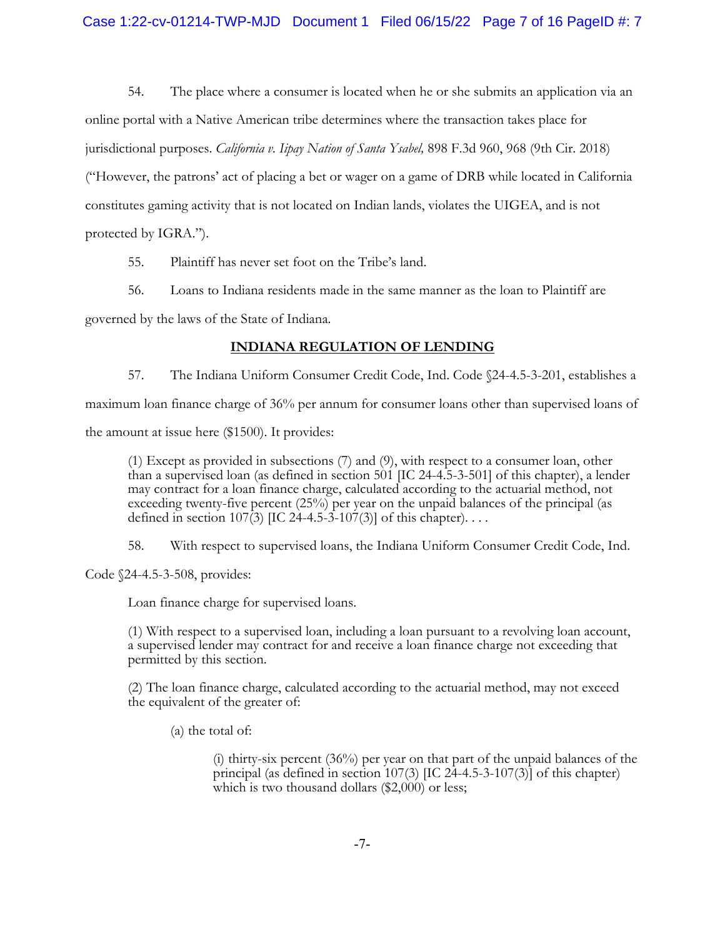54. The place where a consumer is located when he or she submits an application via an online portal with a Native American tribe determines where the transaction takes place for jurisdictional purposes. *California v. Iipay Nation of Santa Ysabel,* 898 F.3d 960, 968 (9th Cir. 2018) ("However, the patrons' act of placing a bet or wager on a game of DRB while located in California constitutes gaming activity that is not located on Indian lands, violates the UIGEA, and is not protected by IGRA.").

55. Plaintiff has never set foot on the Tribe's land.

56. Loans to Indiana residents made in the same manner as the loan to Plaintiff are governed by the laws of the State of Indiana.

# **INDIANA REGULATION OF LENDING**

57. The Indiana Uniform Consumer Credit Code, Ind. Code §24-4.5-3-201, establishes a

maximum loan finance charge of 36% per annum for consumer loans other than supervised loans of

the amount at issue here (\$1500). It provides:

(1) Except as provided in subsections (7) and (9), with respect to a consumer loan, other than a supervised loan (as defined in section  $501$  [IC 24-4.5-3-501] of this chapter), a lender may contract for a loan finance charge, calculated according to the actuarial method, not exceeding twenty-five percent (25%) per year on the unpaid balances of the principal (as defined in section 107(3) [IC 24-4.5-3-107(3)] of this chapter). . . . .

58. With respect to supervised loans, the Indiana Uniform Consumer Credit Code, Ind.

Code §24-4.5-3-508, provides:

Loan finance charge for supervised loans.

(1) With respect to a supervised loan, including a loan pursuant to a revolving loan account, a supervised lender may contract for and receive a loan finance charge not exceeding that permitted by this section.

(2) The loan finance charge, calculated according to the actuarial method, may not exceed the equivalent of the greater of:

(a) the total of:

(i) thirty-six percent (36%) per year on that part of the unpaid balances of the principal (as defined in section 107(3) [IC 24-4.5-3-107(3)] of this chapter) which is two thousand dollars (\$2,000) or less;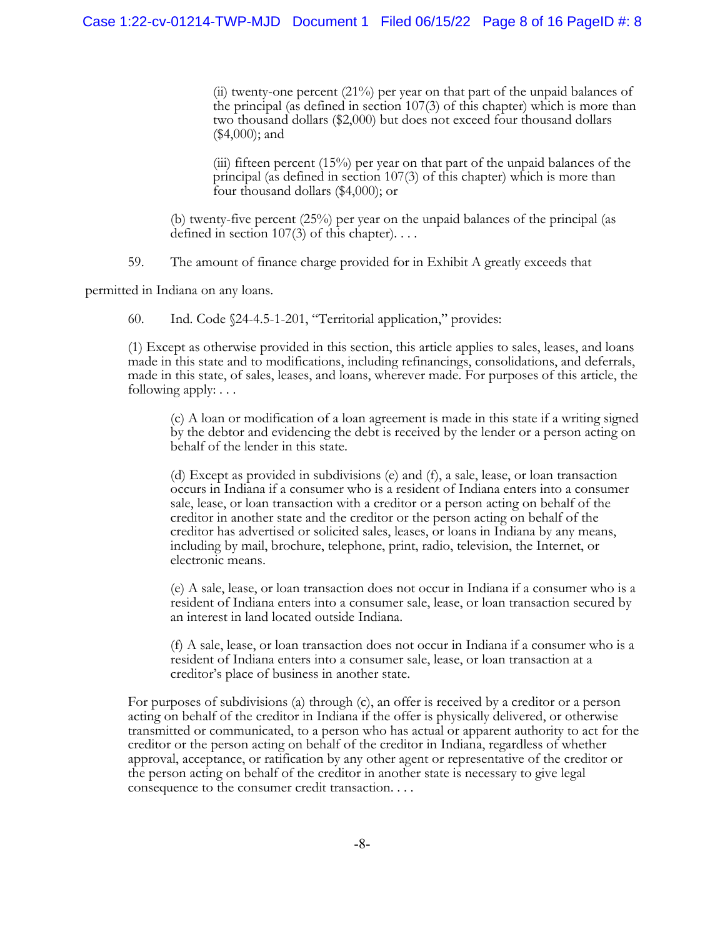(ii) twenty-one percent (21%) per year on that part of the unpaid balances of the principal (as defined in section 107(3) of this chapter) which is more than two thousand dollars (\$2,000) but does not exceed four thousand dollars (\$4,000); and

(iii) fifteen percent (15%) per year on that part of the unpaid balances of the principal (as defined in section 107(3) of this chapter) which is more than four thousand dollars (\$4,000); or

(b) twenty-five percent (25%) per year on the unpaid balances of the principal (as defined in section 107(3) of this chapter).  $\dots$ 

59. The amount of finance charge provided for in Exhibit A greatly exceeds that

permitted in Indiana on any loans.

60. Ind. Code §24-4.5-1-201, "Territorial application," provides:

(1) Except as otherwise provided in this section, this article applies to sales, leases, and loans made in this state and to modifications, including refinancings, consolidations, and deferrals, made in this state, of sales, leases, and loans, wherever made. For purposes of this article, the following apply: . . .

(c) A loan or modification of a loan agreement is made in this state if a writing signed by the debtor and evidencing the debt is received by the lender or a person acting on behalf of the lender in this state.

(d) Except as provided in subdivisions (e) and (f), a sale, lease, or loan transaction occurs in Indiana if a consumer who is a resident of Indiana enters into a consumer sale, lease, or loan transaction with a creditor or a person acting on behalf of the creditor in another state and the creditor or the person acting on behalf of the creditor has advertised or solicited sales, leases, or loans in Indiana by any means, including by mail, brochure, telephone, print, radio, television, the Internet, or electronic means.

(e) A sale, lease, or loan transaction does not occur in Indiana if a consumer who is a resident of Indiana enters into a consumer sale, lease, or loan transaction secured by an interest in land located outside Indiana.

(f) A sale, lease, or loan transaction does not occur in Indiana if a consumer who is a resident of Indiana enters into a consumer sale, lease, or loan transaction at a creditor's place of business in another state.

For purposes of subdivisions (a) through (c), an offer is received by a creditor or a person acting on behalf of the creditor in Indiana if the offer is physically delivered, or otherwise transmitted or communicated, to a person who has actual or apparent authority to act for the creditor or the person acting on behalf of the creditor in Indiana, regardless of whether approval, acceptance, or ratification by any other agent or representative of the creditor or the person acting on behalf of the creditor in another state is necessary to give legal consequence to the consumer credit transaction. . . .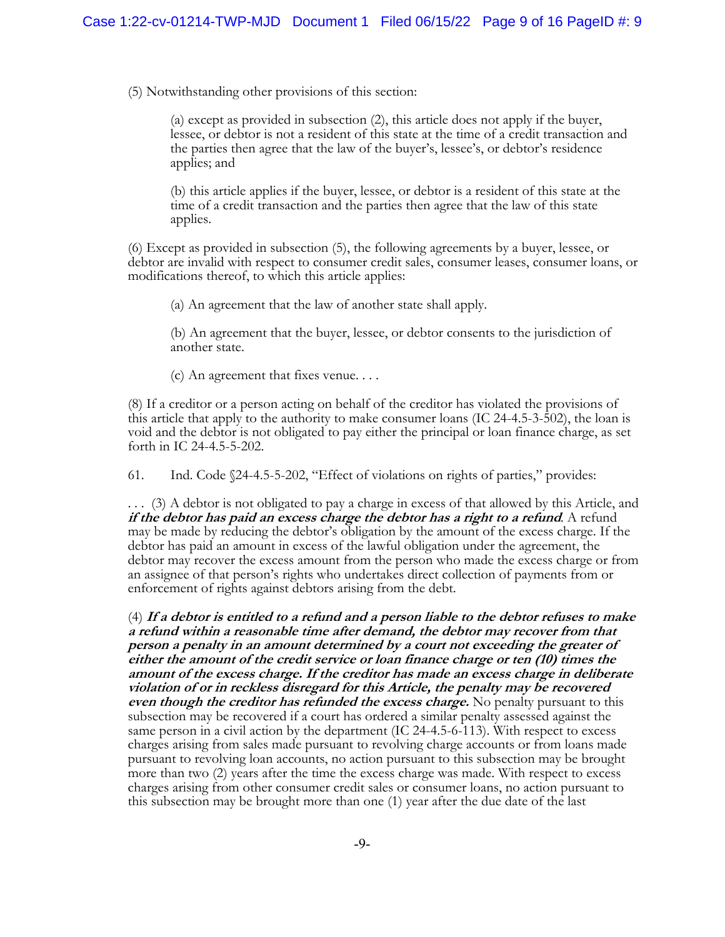(5) Notwithstanding other provisions of this section:

(a) except as provided in subsection (2), this article does not apply if the buyer, lessee, or debtor is not a resident of this state at the time of a credit transaction and the parties then agree that the law of the buyer's, lessee's, or debtor's residence applies; and

(b) this article applies if the buyer, lessee, or debtor is a resident of this state at the time of a credit transaction and the parties then agree that the law of this state applies.

(6) Except as provided in subsection (5), the following agreements by a buyer, lessee, or debtor are invalid with respect to consumer credit sales, consumer leases, consumer loans, or modifications thereof, to which this article applies:

(a) An agreement that the law of another state shall apply.

(b) An agreement that the buyer, lessee, or debtor consents to the jurisdiction of another state.

(c) An agreement that fixes venue. . . .

(8) If a creditor or a person acting on behalf of the creditor has violated the provisions of this article that apply to the authority to make consumer loans (IC 24-4.5-3-502), the loan is void and the debtor is not obligated to pay either the principal or loan finance charge, as set forth in IC 24-4.5-5-202.

61. Ind. Code §24-4.5-5-202, "Effect of violations on rights of parties," provides:

. . . (3) A debtor is not obligated to pay a charge in excess of that allowed by this Article, and *if the debtor has paid an excess charge the debtor has a right to a refund.* **A refund** may be made by reducing the debtor's obligation by the amount of the excess charge. If the debtor has paid an amount in excess of the lawful obligation under the agreement, the debtor may recover the excess amount from the person who made the excess charge or from an assignee of that person's rights who undertakes direct collection of payments from or enforcement of rights against debtors arising from the debt.

(4) **If a debtor is entitled to a refund and a person liable to the debtor refuses to make a refund within a reasonable time after demand, the debtor may recover from that person a penalty in an amount determined by a court not exceeding the greater of either the amount of the credit service or loan finance charge or ten (10) times the amount of the excess charge. If the creditor has made an excess charge in deliberate violation of or in reckless disregard for this Article, the penalty may be recovered** *even though the creditor has refunded the excess charge.* **No penalty pursuant to this** subsection may be recovered if a court has ordered a similar penalty assessed against the same person in a civil action by the department (IC 24-4.5-6-113). With respect to excess charges arising from sales made pursuant to revolving charge accounts or from loans made pursuant to revolving loan accounts, no action pursuant to this subsection may be brought more than two (2) years after the time the excess charge was made. With respect to excess charges arising from other consumer credit sales or consumer loans, no action pursuant to this subsection may be brought more than one (1) year after the due date of the last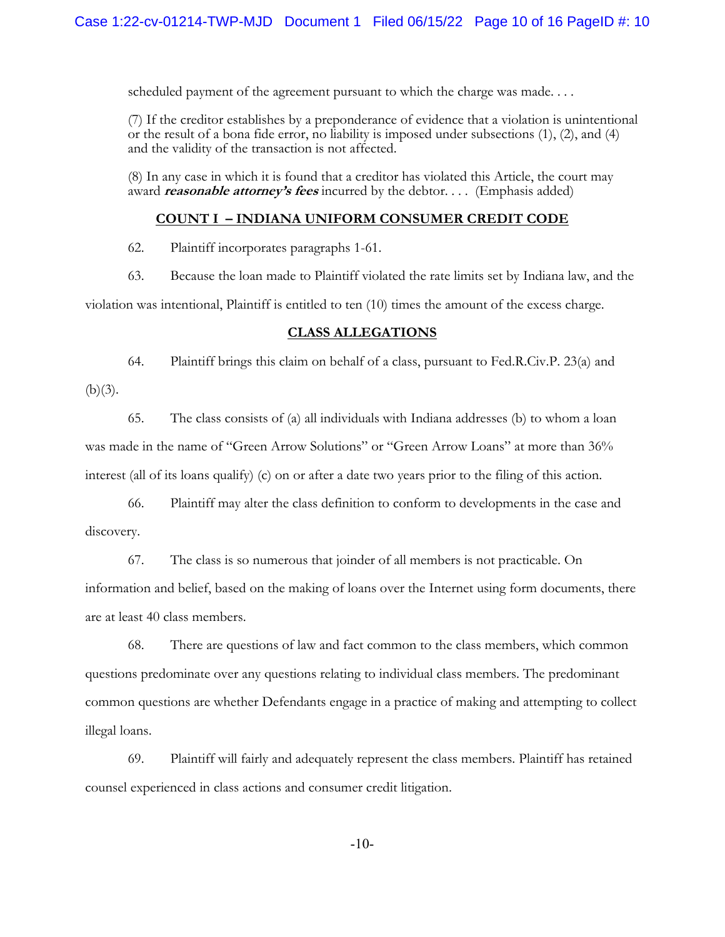scheduled payment of the agreement pursuant to which the charge was made....

(7) If the creditor establishes by a preponderance of evidence that a violation is unintentional or the result of a bona fide error, no liability is imposed under subsections (1), (2), and (4) and the validity of the transaction is not affected.

(8) In any case in which it is found that a creditor has violated this Article, the court may award *reasonable attorney's fees* incurred by the debtor. . . . (Emphasis added)

# **COUNT I – INDIANA UNIFORM CONSUMER CREDIT CODE**

62. Plaintiff incorporates paragraphs 1-61.

63. Because the loan made to Plaintiff violated the rate limits set by Indiana law, and the

violation was intentional, Plaintiff is entitled to ten (10) times the amount of the excess charge.

# **CLASS ALLEGATIONS**

64. Plaintiff brings this claim on behalf of a class, pursuant to Fed.R.Civ.P. 23(a) and

 $(b)(3)$ .

65. The class consists of (a) all individuals with Indiana addresses (b) to whom a loan was made in the name of "Green Arrow Solutions" or "Green Arrow Loans" at more than 36% interest (all of its loans qualify) (c) on or after a date two years prior to the filing of this action.

66. Plaintiff may alter the class definition to conform to developments in the case and discovery.

67. The class is so numerous that joinder of all members is not practicable. On information and belief, based on the making of loans over the Internet using form documents, there are at least 40 class members.

68. There are questions of law and fact common to the class members, which common questions predominate over any questions relating to individual class members. The predominant common questions are whether Defendants engage in a practice of making and attempting to collect illegal loans.

69. Plaintiff will fairly and adequately represent the class members. Plaintiff has retained counsel experienced in class actions and consumer credit litigation.

-10-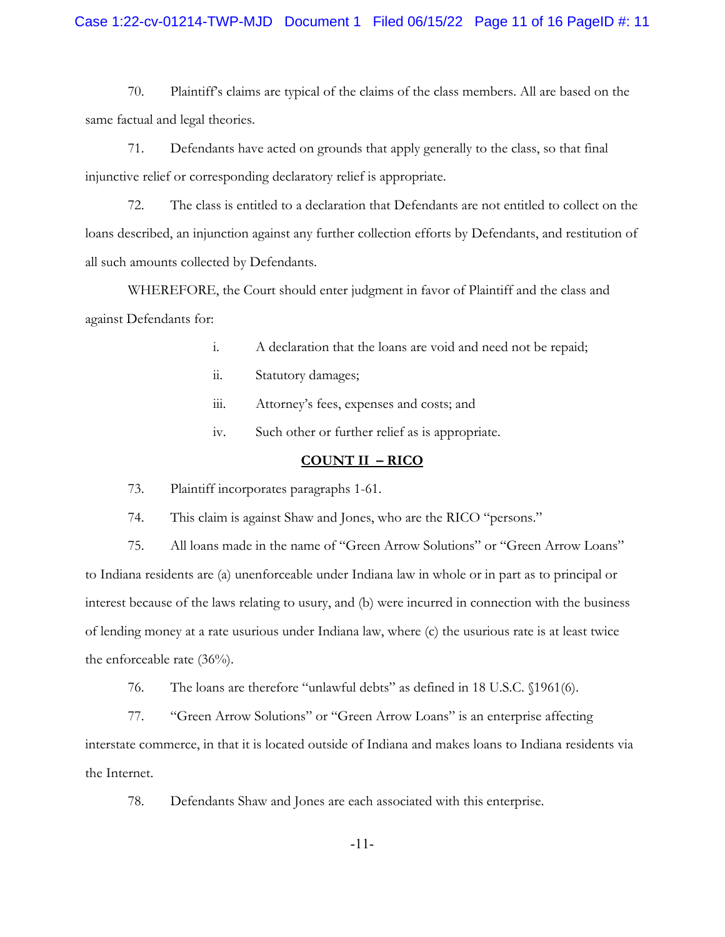# Case 1:22-cv-01214-TWP-MJD Document 1 Filed 06/15/22 Page 11 of 16 PageID #: 11

70. Plaintiff's claims are typical of the claims of the class members. All are based on the same factual and legal theories.

71. Defendants have acted on grounds that apply generally to the class, so that final injunctive relief or corresponding declaratory relief is appropriate.

72. The class is entitled to a declaration that Defendants are not entitled to collect on the loans described, an injunction against any further collection efforts by Defendants, and restitution of all such amounts collected by Defendants.

WHEREFORE, the Court should enter judgment in favor of Plaintiff and the class and against Defendants for:

- i. A declaration that the loans are void and need not be repaid;
- ii. Statutory damages;
- iii. Attorney's fees, expenses and costs; and
- iv. Such other or further relief as is appropriate.

#### **COUNT II – RICO**

73. Plaintiff incorporates paragraphs 1-61.

74. This claim is against Shaw and Jones, who are the RICO "persons."

75. All loans made in the name of "Green Arrow Solutions" or "Green Arrow Loans" to Indiana residents are (a) unenforceable under Indiana law in whole or in part as to principal or interest because of the laws relating to usury, and (b) were incurred in connection with the business of lending money at a rate usurious under Indiana law, where (c) the usurious rate is at least twice the enforceable rate (36%).

76. The loans are therefore "unlawful debts" as defined in 18 U.S.C. §1961(6).

77. "Green Arrow Solutions" or "Green Arrow Loans" is an enterprise affecting interstate commerce, in that it is located outside of Indiana and makes loans to Indiana residents via the Internet.

78. Defendants Shaw and Jones are each associated with this enterprise.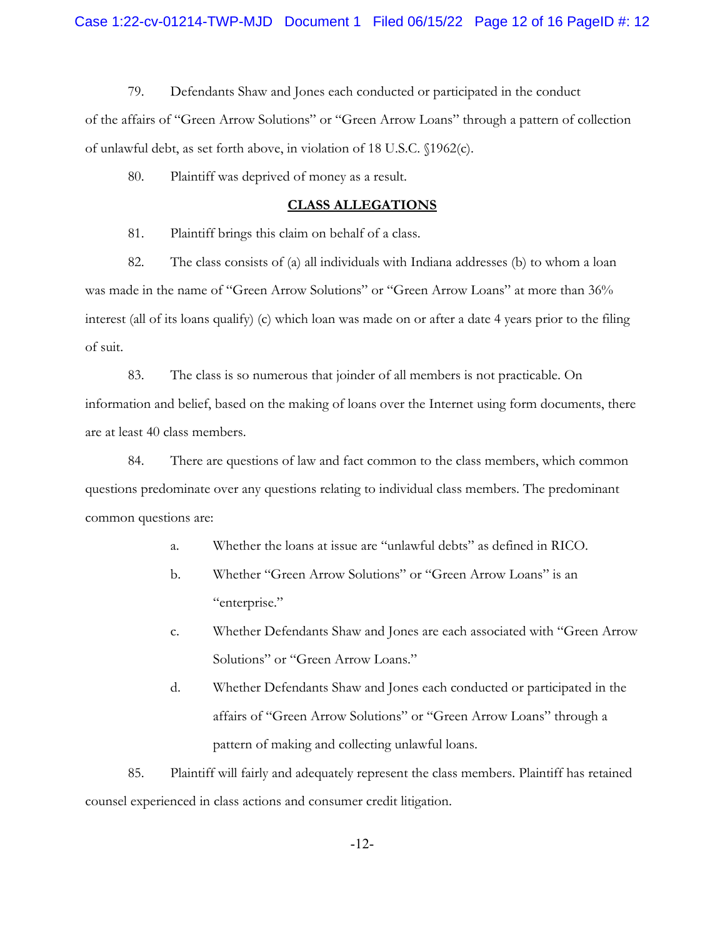79. Defendants Shaw and Jones each conducted or participated in the conduct of the affairs of "Green Arrow Solutions" or "Green Arrow Loans" through a pattern of collection of unlawful debt, as set forth above, in violation of 18 U.S.C. §1962(c).

80. Plaintiff was deprived of money as a result.

### **CLASS ALLEGATIONS**

81. Plaintiff brings this claim on behalf of a class.

82. The class consists of (a) all individuals with Indiana addresses (b) to whom a loan was made in the name of "Green Arrow Solutions" or "Green Arrow Loans" at more than 36% interest (all of its loans qualify) (c) which loan was made on or after a date 4 years prior to the filing of suit.

83. The class is so numerous that joinder of all members is not practicable. On information and belief, based on the making of loans over the Internet using form documents, there are at least 40 class members.

84. There are questions of law and fact common to the class members, which common questions predominate over any questions relating to individual class members. The predominant common questions are:

- a. Whether the loans at issue are "unlawful debts" as defined in RICO.
- b. Whether "Green Arrow Solutions" or "Green Arrow Loans" is an "enterprise."
- c. Whether Defendants Shaw and Jones are each associated with "Green Arrow Solutions" or "Green Arrow Loans."
- d. Whether Defendants Shaw and Jones each conducted or participated in the affairs of "Green Arrow Solutions" or "Green Arrow Loans" through a pattern of making and collecting unlawful loans.

85. Plaintiff will fairly and adequately represent the class members. Plaintiff has retained counsel experienced in class actions and consumer credit litigation.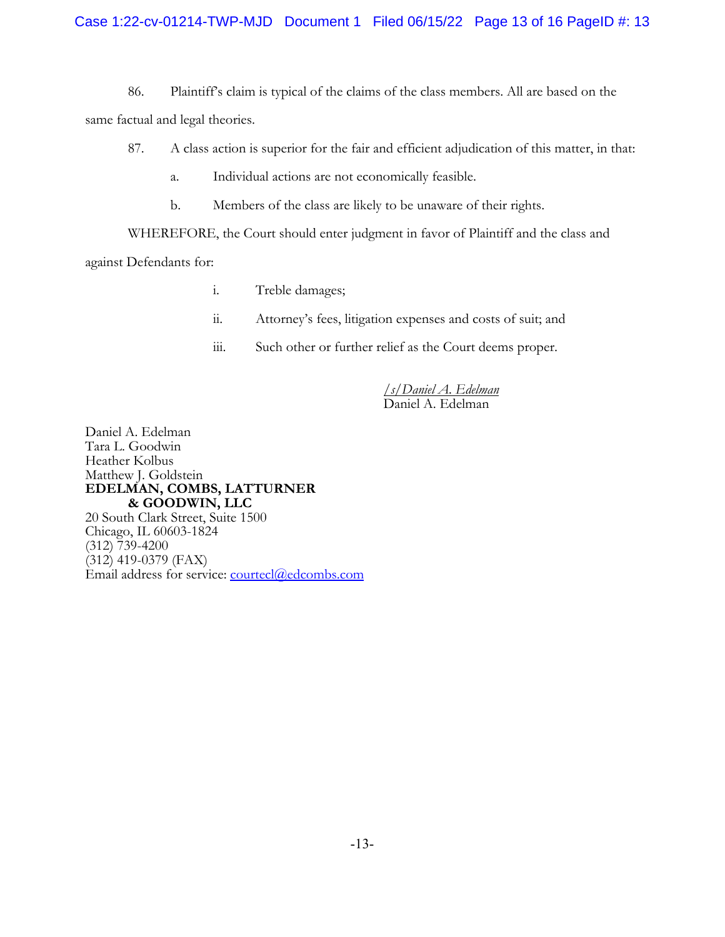86. Plaintiff's claim is typical of the claims of the class members. All are based on the

same factual and legal theories.

- 87. A class action is superior for the fair and efficient adjudication of this matter, in that:
	- a. Individual actions are not economically feasible.
	- b. Members of the class are likely to be unaware of their rights.

WHEREFORE, the Court should enter judgment in favor of Plaintiff and the class and

against Defendants for:

- i. Treble damages;
- ii. Attorney's fees, litigation expenses and costs of suit; and
- iii. Such other or further relief as the Court deems proper.

/*s/Daniel A. Edelman* Daniel A. Edelman

Daniel A. Edelman Tara L. Goodwin Heather Kolbus Matthew J. Goldstein **EDELMAN, COMBS, LATTURNER & GOODWIN, LLC** 20 South Clark Street, Suite 1500 Chicago, IL 60603-1824  $(312)$  739-4200  $(312)$  419-0379 (FAX) Email address for service: courtecl@edcombs.com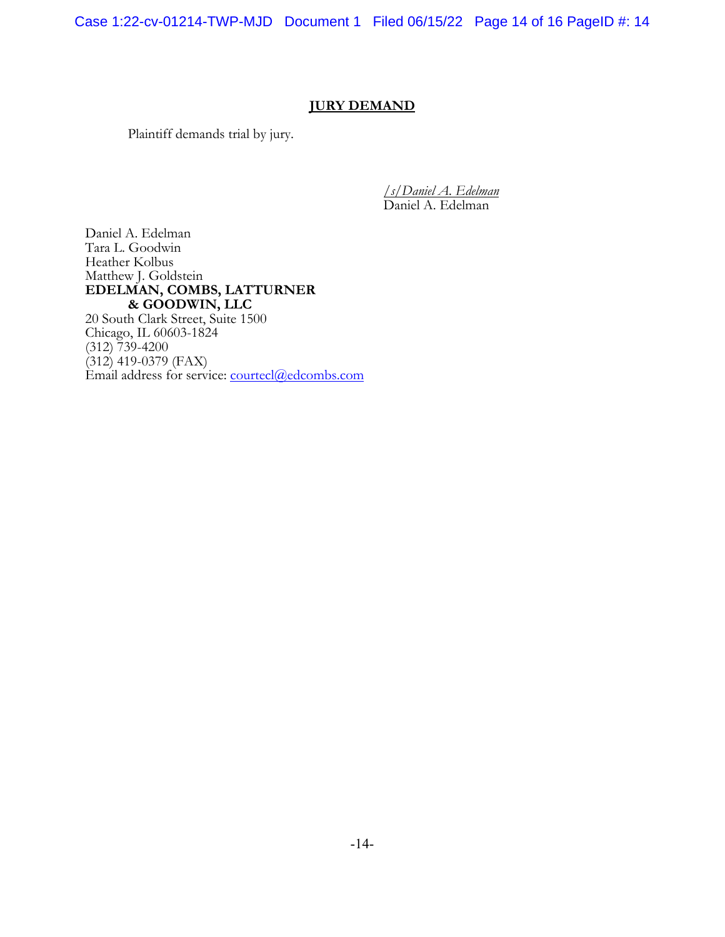Case 1:22-cv-01214-TWP-MJD Document 1 Filed 06/15/22 Page 14 of 16 PageID #: 14

# **JURY DEMAND**

Plaintiff demands trial by jury.

/*s/Daniel A. Edelman* Daniel A. Edelman

Daniel A. Edelman Tara L. Goodwin Heather Kolbus Matthew J. Goldstein **EDELMAN, COMBS, LATTURNER & GOODWIN, LLC** 20 South Clark Street, Suite 1500

Chicago, IL 60603-1824  $(312)$  739-4200  $(312)$  419-0379 (FAX) Email address for service: courtecl@edcombs.com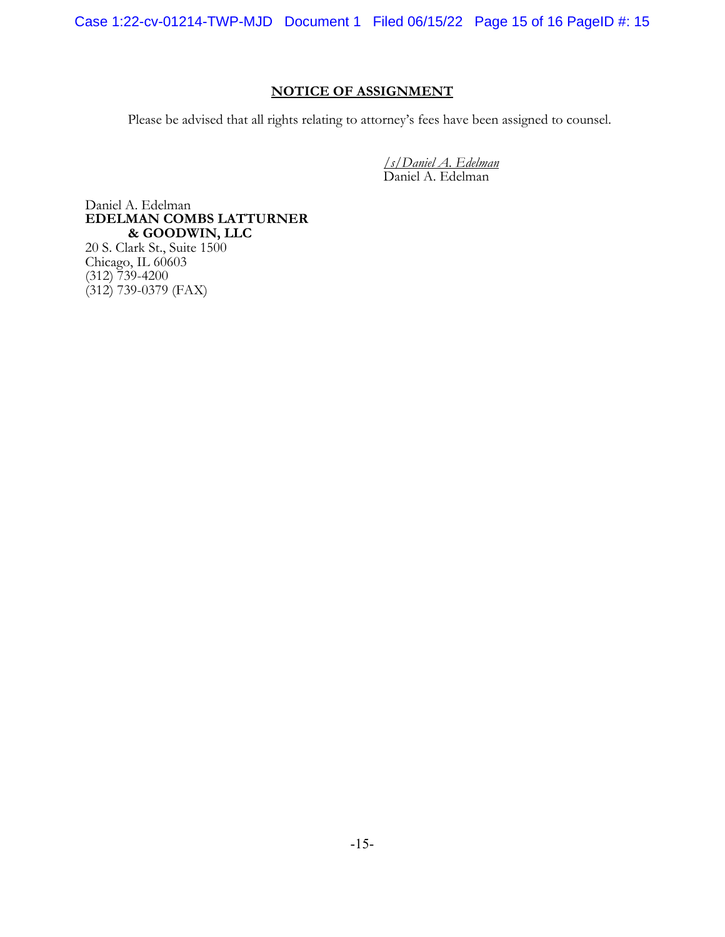Case 1:22-cv-01214-TWP-MJD Document 1 Filed 06/15/22 Page 15 of 16 PageID #: 15

# **NOTICE OF ASSIGNMENT**

Please be advised that all rights relating to attorney's fees have been assigned to counsel.

*/s/Daniel A. Edelman* Daniel A. Edelman

Daniel A. Edelman **EDELMAN COMBS LATTURNER & GOODWIN, LLC**

20 S. Clark St., Suite 1500 Chicago, IL 60603 (312) 739-4200 (312) 739-0379 (FAX)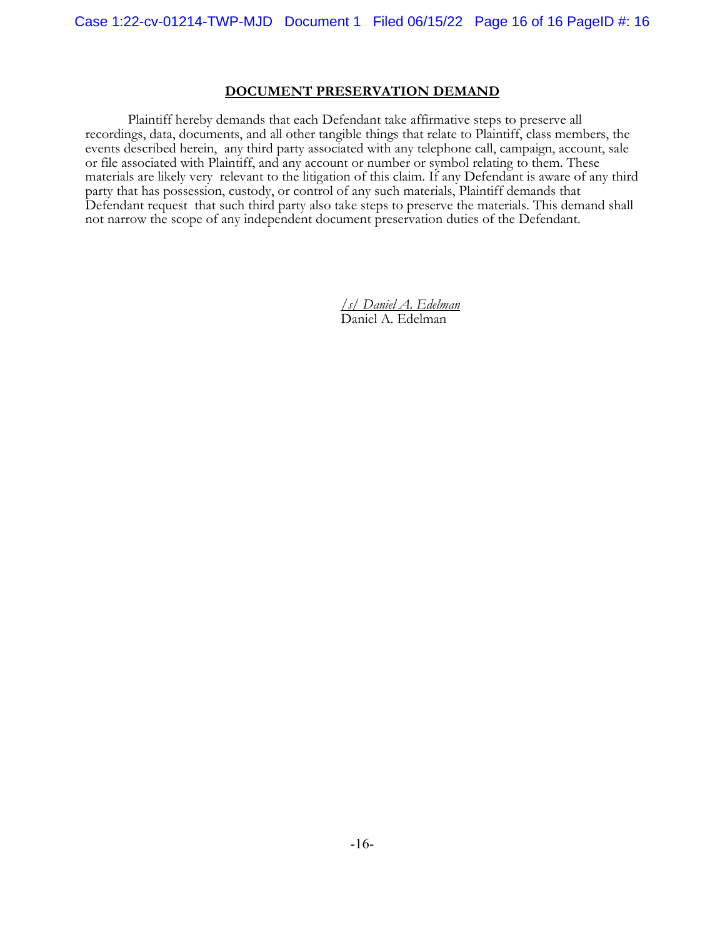# **DOCUMENT PRESERVATION DEMAND**

Plaintiff hereby demands that each Defendant take affirmative steps to preserve all recordings, data, documents, and all other tangible things that relate to Plaintiff, class members, the events described herein, any third party associated with any telephone call, campaign, account, sale or file associated with Plaintiff, and any account or number or symbol relating to them. These materials are likely very relevant to the litigation of this claim. If any Defendant is aware of any third party that has possession, custody, or control of any such materials, Plaintiff demands that Defendant request that such third party also take steps to preserve the materials. This demand shall not narrow the scope of any independent document preservation duties of the Defendant.

> */s/ Daniel A. Edelman* Daniel A. Edelman